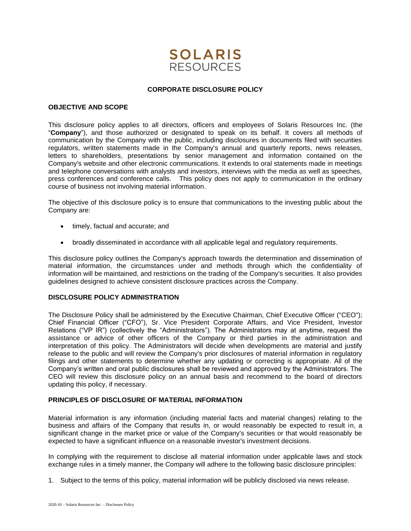

# **CORPORATE DISCLOSURE POLICY**

### **OBJECTIVE AND SCOPE**

This disclosure policy applies to all directors, officers and employees of Solaris Resources Inc. (the "**Company**"), and those authorized or designated to speak on its behalf. It covers all methods of communication by the Company with the public, including disclosures in documents filed with securities regulators, written statements made in the Company's annual and quarterly reports, news releases, letters to shareholders, presentations by senior management and information contained on the Company's website and other electronic communications. It extends to oral statements made in meetings and telephone conversations with analysts and investors, interviews with the media as well as speeches, press conferences and conference calls. This policy does not apply to communication in the ordinary course of business not involving material information.

The objective of this disclosure policy is to ensure that communications to the investing public about the Company are:

- timely, factual and accurate; and
- broadly disseminated in accordance with all applicable legal and regulatory requirements.

This disclosure policy outlines the Company's approach towards the determination and dissemination of material information, the circumstances under and methods through which the confidentiality of information will be maintained, and restrictions on the trading of the Company's securities. It also provides guidelines designed to achieve consistent disclosure practices across the Company.

# **DISCLOSURE POLICY ADMINISTRATION**

The Disclosure Policy shall be administered by the Executive Chairman, Chief Executive Officer ("CEO"); Chief Financial Officer ("CFO"), Sr. Vice President Corporate Affairs, and Vice President, Investor Relations ("VP IR") (collectively the "Administrators"). The Administrators may at anytime, request the assistance or advice of other officers of the Company or third parties in the administration and interpretation of this policy. The Administrators will decide when developments are material and justify release to the public and will review the Company's prior disclosures of material information in regulatory filings and other statements to determine whether any updating or correcting is appropriate. All of the Company's written and oral public disclosures shall be reviewed and approved by the Administrators. The CEO will review this disclosure policy on an annual basis and recommend to the board of directors updating this policy, if necessary.

#### **PRINCIPLES OF DISCLOSURE OF MATERIAL INFORMATION**

Material information is any information (including material facts and material changes) relating to the business and affairs of the Company that results in, or would reasonably be expected to result in, a significant change in the market price or value of the Company's securities or that would reasonably be expected to have a significant influence on a reasonable investor's investment decisions.

In complying with the requirement to disclose all material information under applicable laws and stock exchange rules in a timely manner, the Company will adhere to the following basic disclosure principles:

1. Subject to the terms of this policy, material information will be publicly disclosed via news release.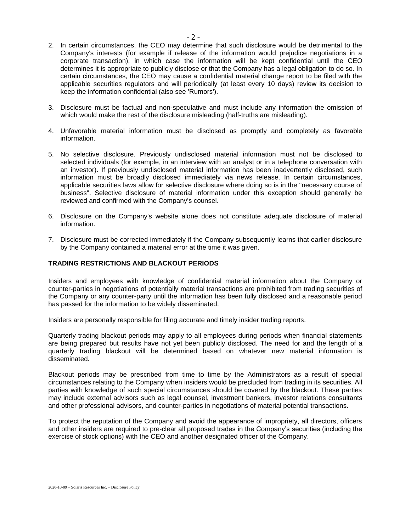- 2. In certain circumstances, the CEO may determine that such disclosure would be detrimental to the Company's interests (for example if release of the information would prejudice negotiations in a corporate transaction), in which case the information will be kept confidential until the CEO determines it is appropriate to publicly disclose or that the Company has a legal obligation to do so. In certain circumstances, the CEO may cause a confidential material change report to be filed with the applicable securities regulators and will periodically (at least every 10 days) review its decision to keep the information confidential (also see 'Rumors').
- 3. Disclosure must be factual and non-speculative and must include any information the omission of which would make the rest of the disclosure misleading (half-truths are misleading).
- 4. Unfavorable material information must be disclosed as promptly and completely as favorable information.
- 5. No selective disclosure. Previously undisclosed material information must not be disclosed to selected individuals (for example, in an interview with an analyst or in a telephone conversation with an investor). If previously undisclosed material information has been inadvertently disclosed, such information must be broadly disclosed immediately via news release. In certain circumstances, applicable securities laws allow for selective disclosure where doing so is in the "necessary course of business". Selective disclosure of material information under this exception should generally be reviewed and confirmed with the Company's counsel.
- 6. Disclosure on the Company's website alone does not constitute adequate disclosure of material information.
- 7. Disclosure must be corrected immediately if the Company subsequently learns that earlier disclosure by the Company contained a material error at the time it was given.

# **TRADING RESTRICTIONS AND BLACKOUT PERIODS**

Insiders and employees with knowledge of confidential material information about the Company or counter-parties in negotiations of potentially material transactions are prohibited from trading securities of the Company or any counter-party until the information has been fully disclosed and a reasonable period has passed for the information to be widely disseminated.

Insiders are personally responsible for filing accurate and timely insider trading reports.

Quarterly trading blackout periods may apply to all employees during periods when financial statements are being prepared but results have not yet been publicly disclosed. The need for and the length of a quarterly trading blackout will be determined based on whatever new material information is disseminated.

Blackout periods may be prescribed from time to time by the Administrators as a result of special circumstances relating to the Company when insiders would be precluded from trading in its securities. All parties with knowledge of such special circumstances should be covered by the blackout. These parties may include external advisors such as legal counsel, investment bankers, investor relations consultants and other professional advisors, and counter-parties in negotiations of material potential transactions.

To protect the reputation of the Company and avoid the appearance of impropriety, all directors, officers and other insiders are required to pre-clear all proposed trades in the Company's securities (including the exercise of stock options) with the CEO and another designated officer of the Company.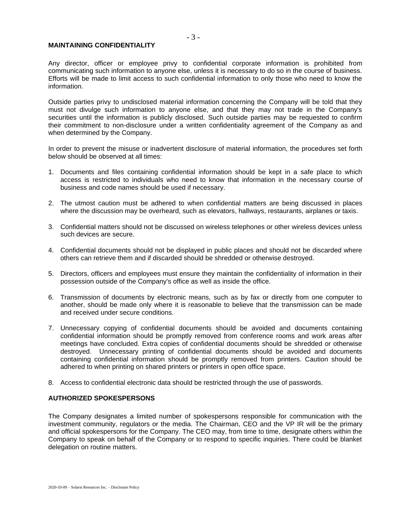### **MAINTAINING CONFIDENTIALITY**

Any director, officer or employee privy to confidential corporate information is prohibited from communicating such information to anyone else, unless it is necessary to do so in the course of business. Efforts will be made to limit access to such confidential information to only those who need to know the information.

Outside parties privy to undisclosed material information concerning the Company will be told that they must not divulge such information to anyone else, and that they may not trade in the Company's securities until the information is publicly disclosed. Such outside parties may be requested to confirm their commitment to non-disclosure under a written confidentiality agreement of the Company as and when determined by the Company.

In order to prevent the misuse or inadvertent disclosure of material information, the procedures set forth below should be observed at all times:

- 1. Documents and files containing confidential information should be kept in a safe place to which access is restricted to individuals who need to know that information in the necessary course of business and code names should be used if necessary.
- 2. The utmost caution must be adhered to when confidential matters are being discussed in places where the discussion may be overheard, such as elevators, hallways, restaurants, airplanes or taxis.
- 3. Confidential matters should not be discussed on wireless telephones or other wireless devices unless such devices are secure.
- 4. Confidential documents should not be displayed in public places and should not be discarded where others can retrieve them and if discarded should be shredded or otherwise destroyed.
- 5. Directors, officers and employees must ensure they maintain the confidentiality of information in their possession outside of the Company's office as well as inside the office.
- 6. Transmission of documents by electronic means, such as by fax or directly from one computer to another, should be made only where it is reasonable to believe that the transmission can be made and received under secure conditions.
- 7. Unnecessary copying of confidential documents should be avoided and documents containing confidential information should be promptly removed from conference rooms and work areas after meetings have concluded. Extra copies of confidential documents should be shredded or otherwise destroyed. Unnecessary printing of confidential documents should be avoided and documents containing confidential information should be promptly removed from printers. Caution should be adhered to when printing on shared printers or printers in open office space.
- 8. Access to confidential electronic data should be restricted through the use of passwords.

## **AUTHORIZED SPOKESPERSONS**

The Company designates a limited number of spokespersons responsible for communication with the investment community, regulators or the media. The Chairman, CEO and the VP IR will be the primary and official spokespersons for the Company. The CEO may, from time to time, designate others within the Company to speak on behalf of the Company or to respond to specific inquiries. There could be blanket delegation on routine matters.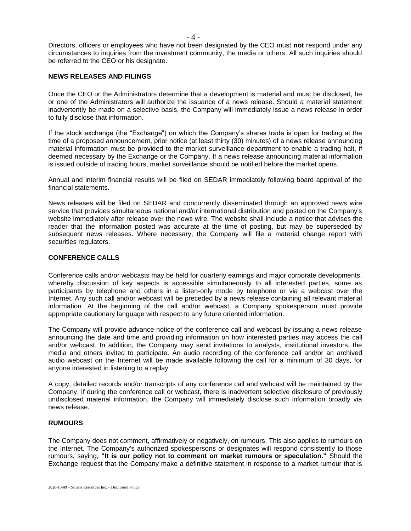Directors, officers or employees who have not been designated by the CEO must **not** respond under any circumstances to inquiries from the investment community, the media or others. All such inquiries should be referred to the CEO or his designate.

### **NEWS RELEASES AND FILINGS**

Once the CEO or the Administrators determine that a development is material and must be disclosed, he or one of the Administrators will authorize the issuance of a news release. Should a material statement inadvertently be made on a selective basis, the Company will immediately issue a news release in order to fully disclose that information.

If the stock exchange (the "Exchange") on which the Company's shares trade is open for trading at the time of a proposed announcement, prior notice (at least thirty (30) minutes) of a news release announcing material information must be provided to the market surveillance department to enable a trading halt, if deemed necessary by the Exchange or the Company. If a news release announcing material information is issued outside of trading hours, market surveillance should be notified before the market opens.

Annual and interim financial results will be filed on SEDAR immediately following board approval of the financial statements.

News releases will be filed on SEDAR and concurrently disseminated through an approved news wire service that provides simultaneous national and/or international distribution and posted on the Company's website immediately after release over the news wire. The website shall include a notice that advises the reader that the information posted was accurate at the time of posting, but may be superseded by subsequent news releases. Where necessary, the Company will file a material change report with securities regulators.

### **CONFERENCE CALLS**

Conference calls and/or webcasts may be held for quarterly earnings and major corporate developments, whereby discussion of key aspects is accessible simultaneously to all interested parties, some as participants by telephone and others in a listen-only mode by telephone or via a webcast over the Internet. Any such call and/or webcast will be preceded by a news release containing all relevant material information. At the beginning of the call and/or webcast, a Company spokesperson must provide appropriate cautionary language with respect to any future oriented information.

The Company will provide advance notice of the conference call and webcast by issuing a news release announcing the date and time and providing information on how interested parties may access the call and/or webcast. In addition, the Company may send invitations to analysts, institutional investors, the media and others invited to participate. An audio recording of the conference call and/or an archived audio webcast on the Internet will be made available following the call for a minimum of 30 days, for anyone interested in listening to a replay.

A copy, detailed records and/or transcripts of any conference call and webcast will be maintained by the Company. If during the conference call or webcast, there is inadvertent selective disclosure of previously undisclosed material information, the Company will immediately disclose such information broadly via news release.

#### **RUMOURS**

The Company does not comment, affirmatively or negatively, on rumours. This also applies to rumours on the Internet. The Company's authorized spokespersons or designates will respond consistently to those rumours, saying, **"It is our policy not to comment on market rumours or speculation."** Should the Exchange request that the Company make a definitive statement in response to a market rumour that is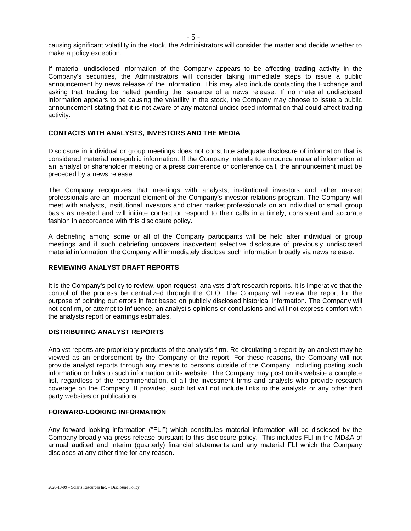causing significant volatility in the stock, the Administrators will consider the matter and decide whether to make a policy exception.

If material undisclosed information of the Company appears to be affecting trading activity in the Company's securities, the Administrators will consider taking immediate steps to issue a public announcement by news release of the information. This may also include contacting the Exchange and asking that trading be halted pending the issuance of a news release. If no material undisclosed information appears to be causing the volatility in the stock, the Company may choose to issue a public announcement stating that it is not aware of any material undisclosed information that could affect trading activity.

# **CONTACTS WITH ANALYSTS, INVESTORS AND THE MEDIA**

Disclosure in individual or group meetings does not constitute adequate disclosure of information that is considered material non-public information. If the Company intends to announce material information at an analyst or shareholder meeting or a press conference or conference call, the announcement must be preceded by a news release.

The Company recognizes that meetings with analysts, institutional investors and other market professionals are an important element of the Company's investor relations program. The Company will meet with analysts, institutional investors and other market professionals on an individual or small group basis as needed and will initiate contact or respond to their calls in a timely, consistent and accurate fashion in accordance with this disclosure policy.

A debriefing among some or all of the Company participants will be held after individual or group meetings and if such debriefing uncovers inadvertent selective disclosure of previously undisclosed material information, the Company will immediately disclose such information broadly via news release.

## **REVIEWING ANALYST DRAFT REPORTS**

It is the Company's policy to review, upon request, analysts draft research reports. It is imperative that the control of the process be centralized through the CFO. The Company will review the report for the purpose of pointing out errors in fact based on publicly disclosed historical information. The Company will not confirm, or attempt to influence, an analyst's opinions or conclusions and will not express comfort with the analysts report or earnings estimates.

# **DISTRIBUTING ANALYST REPORTS**

Analyst reports are proprietary products of the analyst's firm. Re-circulating a report by an analyst may be viewed as an endorsement by the Company of the report. For these reasons, the Company will not provide analyst reports through any means to persons outside of the Company, including posting such information or links to such information on its website. The Company may post on its website a complete list, regardless of the recommendation, of all the investment firms and analysts who provide research coverage on the Company. If provided, such list will not include links to the analysts or any other third party websites or publications.

#### **FORWARD-LOOKING INFORMATION**

Any forward looking information ("FLI") which constitutes material information will be disclosed by the Company broadly via press release pursuant to this disclosure policy. This includes FLI in the MD&A of annual audited and interim (quarterly) financial statements and any material FLI which the Company discloses at any other time for any reason.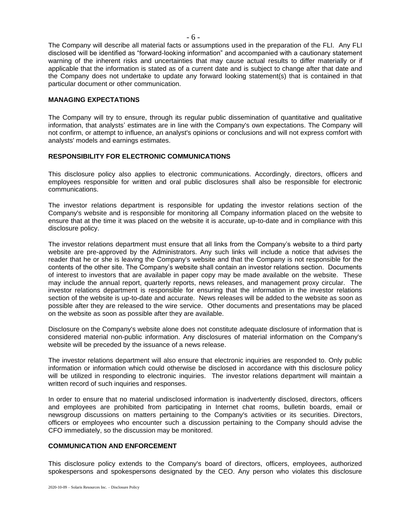The Company will describe all material facts or assumptions used in the preparation of the FLI. Any FLI disclosed will be identified as "forward-looking information" and accompanied with a cautionary statement warning of the inherent risks and uncertainties that may cause actual results to differ materially or if applicable that the information is stated as of a current date and is subject to change after that date and the Company does not undertake to update any forward looking statement(s) that is contained in that particular document or other communication.

### **MANAGING EXPECTATIONS**

The Company will try to ensure, through its regular public dissemination of quantitative and qualitative information, that analysts' estimates are in line with the Company's own expectations. The Company will not confirm, or attempt to influence, an analyst's opinions or conclusions and will not express comfort with analysts' models and earnings estimates.

## **RESPONSIBILITY FOR ELECTRONIC COMMUNICATIONS**

This disclosure policy also applies to electronic communications. Accordingly, directors, officers and employees responsible for written and oral public disclosures shall also be responsible for electronic communications.

The investor relations department is responsible for updating the investor relations section of the Company's website and is responsible for monitoring all Company information placed on the website to ensure that at the time it was placed on the website it is accurate, up-to-date and in compliance with this disclosure policy.

The investor relations department must ensure that all links from the Company's website to a third party website are pre-approved by the Administrators. Any such links will include a notice that advises the reader that he or she is leaving the Company's website and that the Company is not responsible for the contents of the other site. The Company's website shall contain an investor relations section. Documents of interest to investors that are available in paper copy may be made available on the website. These may include the annual report, quarterly reports, news releases, and management proxy circular. The investor relations department is responsible for ensuring that the information in the investor relations section of the website is up-to-date and accurate. News releases will be added to the website as soon as possible after they are released to the wire service. Other documents and presentations may be placed on the website as soon as possible after they are available.

Disclosure on the Company's website alone does not constitute adequate disclosure of information that is considered material non-public information. Any disclosures of material information on the Company's website will be preceded by the issuance of a news release.

The investor relations department will also ensure that electronic inquiries are responded to. Only public information or information which could otherwise be disclosed in accordance with this disclosure policy will be utilized in responding to electronic inquiries. The investor relations department will maintain a written record of such inquiries and responses.

In order to ensure that no material undisclosed information is inadvertently disclosed, directors, officers and employees are prohibited from participating in Internet chat rooms, bulletin boards, email or newsgroup discussions on matters pertaining to the Company's activities or its securities. Directors, officers or employees who encounter such a discussion pertaining to the Company should advise the CFO immediately, so the discussion may be monitored.

### **COMMUNICATION AND ENFORCEMENT**

This disclosure policy extends to the Company's board of directors, officers, employees, authorized spokespersons and spokespersons designated by the CEO. Any person who violates this disclosure